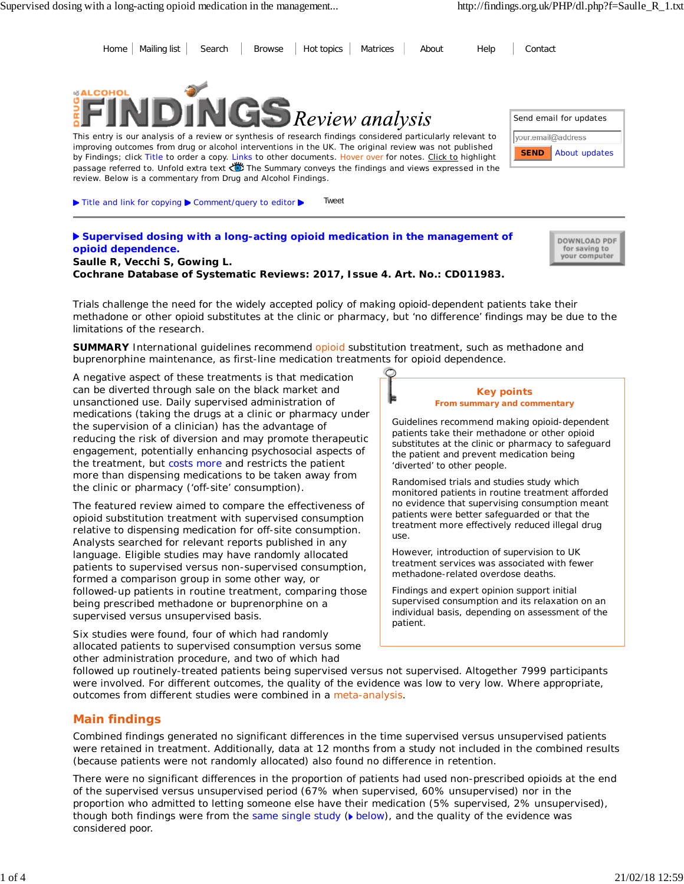Send email for updates

vour.email@address

**SEND**





This entry is our analysis of a review or synthesis of research findings considered particularly relevant to improving outcomes from drug or alcohol interventions in the UK. The original review was not published by Findings; click Title to order a copy. Links to other documents. Hover over for notes. Click to highlight passage referred to. Unfold extra text  $\ddot{\ddot{\bullet}}$  The Summary conveys the findings and views expressed in the review. Below is a commentary from Drug and Alcohol Findings.

▶ Title and link for copying ▶ Comment/query to editor ▶ Tweet

**Supervised dosing with a long-acting opioid medication in the management of opioid dependence.**

DOWNLOAD PDF for saving to your computer

About updates

**Saulle R, Vecchi S, Gowing L. Cochrane Database of Systematic Reviews: 2017, Issue 4. Art. No.: CD011983.**

*Trials challenge the need for the widely accepted policy of making opioid-dependent patients take their methadone or other opioid substitutes at the clinic or pharmacy, but 'no difference' findings may be due to the limitations of the research.*

**SUMMARY** International guidelines recommend opioid substitution treatment, such as methadone and buprenorphine maintenance, as first-line medication treatments for opioid dependence.

A negative aspect of these treatments is that medication can be diverted through sale on the black market and unsanctioned use. Daily supervised administration of medications (taking the drugs at a clinic or pharmacy under the supervision of a clinician) has the advantage of reducing the risk of diversion and may promote therapeutic engagement, potentially enhancing psychosocial aspects of the treatment, but costs more and restricts the patient more than dispensing medications to be taken away from the clinic or pharmacy ('off-site' consumption).

The featured review aimed to compare the effectiveness of opioid substitution treatment with supervised consumption relative to dispensing medication for off-site consumption. Analysts searched for relevant reports published in any language. Eligible studies may have randomly allocated patients to supervised versus non-supervised consumption, formed a comparison group in some other way, or followed-up patients in routine treatment, comparing those being prescribed methadone or buprenorphine on a supervised versus unsupervised basis.

Six studies were found, four of which had randomly allocated patients to supervised consumption versus some other administration procedure, and two of which had



Guidelines recommend making opioid-dependent patients take their methadone or other opioid substitutes at the clinic or pharmacy to safeguard the patient and prevent medication being 'diverted' to other people.

Randomised trials and studies study which monitored patients in routine treatment afforded no evidence that supervising consumption meant patients were better safeguarded or that the treatment more effectively reduced illegal drug use.

However, introduction of supervision to UK treatment services was associated with fewer methadone-related overdose deaths.

Findings and expert opinion support initial supervised consumption and its relaxation on an individual basis, depending on assessment of the patient.

followed up routinely-treated patients being supervised versus not supervised. Altogether 7999 participants were involved. For different outcomes, the quality of the evidence was low to very low. Where appropriate, outcomes from different studies were combined in a meta-analysis.

# **Main findings**

Combined findings generated no significant differences in the time supervised versus unsupervised patients were retained in treatment. Additionally, data at 12 months from a study not included in the combined results (because patients were not randomly allocated) also found no difference in retention.

There were no significant differences in the proportion of patients had used non-prescribed opioids at the end of the supervised versus unsupervised period (67% when supervised, 60% unsupervised) nor in the proportion who admitted to letting someone else have their medication (5% supervised, 2% unsupervised), though both findings were from the same single study  $(\bullet)$  below), and the quality of the evidence was considered poor.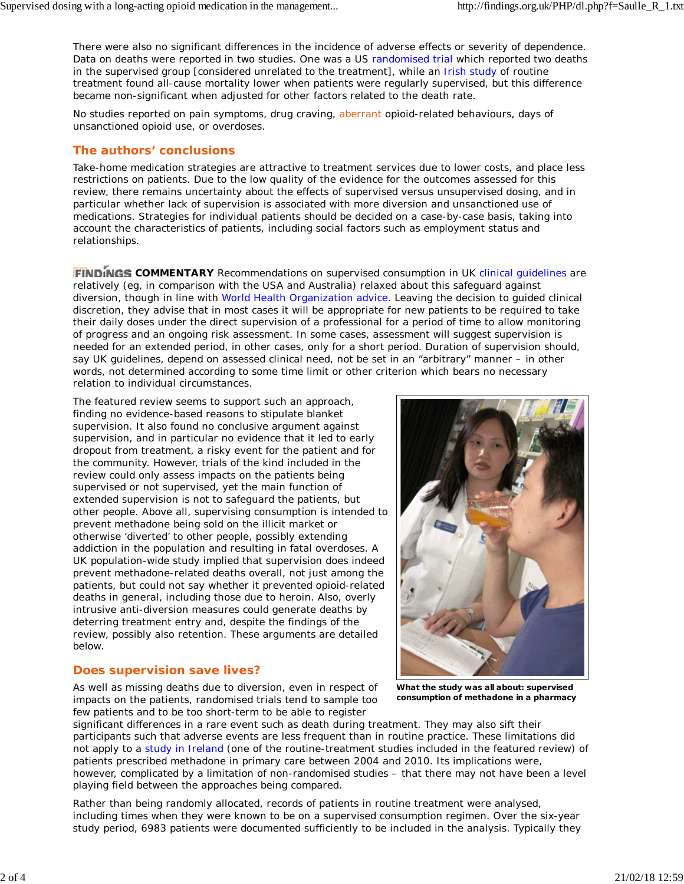There were also no significant differences in the incidence of adverse effects or severity of dependence. Data on deaths were reported in two studies. One was a US randomised trial which reported two deaths in the supervised group [considered unrelated to the treatment], while an Irish study of routine treatment found all-cause mortality lower when patients were regularly supervised, but this difference became non-significant when adjusted for other factors related to the death rate.

No studies reported on pain symptoms, drug craving, aberrant opioid-related behaviours, days of unsanctioned opioid use, or overdoses.

# **The authors' conclusions**

Take-home medication strategies are attractive to treatment services due to lower costs, and place less restrictions on patients. Due to the low quality of the evidence for the outcomes assessed for this review, there remains uncertainty about the effects of supervised versus unsupervised dosing, and in particular whether lack of supervision is associated with more diversion and unsanctioned use of medications. Strategies for individual patients should be decided on a case-by-case basis, taking into account the characteristics of patients, including social factors such as employment status and relationships.

**FINDINGS COMMENTARY** Recommendations on supervised consumption in UK clinical guidelines are relatively (eg, in comparison with the USA and Australia) relaxed about this safeguard against diversion, though in line with World Health Organization advice. Leaving the decision to guided clinical discretion, they advise that in most cases it will be appropriate for new patients to be required to take their daily doses under the direct supervision of a professional for a period of time to allow monitoring of progress and an ongoing risk assessment. In some cases, assessment will suggest supervision is needed for an extended period, in other cases, only for a short period. Duration of supervision should, say UK guidelines, depend on assessed clinical need, not be set in an "arbitrary" manner – in other words, not determined according to some time limit or other criterion which bears no necessary relation to individual circumstances.

The featured review seems to support such an approach, finding no evidence-based reasons to stipulate blanket supervision. It also found no conclusive argument against supervision, and in particular no evidence that it led to early dropout from treatment, a risky event for the patient and for the community. However, trials of the kind included in the review could only assess impacts on the patients being supervised or not supervised, yet the main function of extended supervision is not to safeguard the patients, but other people. Above all, supervising consumption is intended to prevent methadone being sold on the illicit market or otherwise 'diverted' to other people, possibly extending addiction in the population and resulting in fatal overdoses. A UK population-wide study implied that supervision does indeed prevent methadone-related deaths overall, not just among the patients, but could not say whether it prevented opioid-related deaths in general, including those due to heroin. Also, overly intrusive anti-diversion measures could generate deaths by deterring treatment entry and, despite the findings of the review, possibly also retention. These arguments are detailed below.

## **Does supervision save lives?**

As well as missing deaths due to diversion, even in respect of impacts on the patients, randomised trials tend to sample too few patients and to be too short-term to be able to register



**What the study was all about: supervised consumption of methadone in a pharmacy**

significant differences in a rare event such as death during treatment. They may also sift their participants such that adverse events are less frequent than in routine practice. These limitations did not apply to a study in Ireland (one of the routine-treatment studies included in the featured review) of patients prescribed methadone in primary care between 2004 and 2010. Its implications were, however, complicated by a limitation of non-randomised studies – that there may not have been a level playing field between the approaches being compared.

Rather than being randomly allocated, records of patients in routine treatment were analysed, including times when they were known to be on a supervised consumption regimen. Over the six-year study period, 6983 patients were documented sufficiently to be included in the analysis. Typically they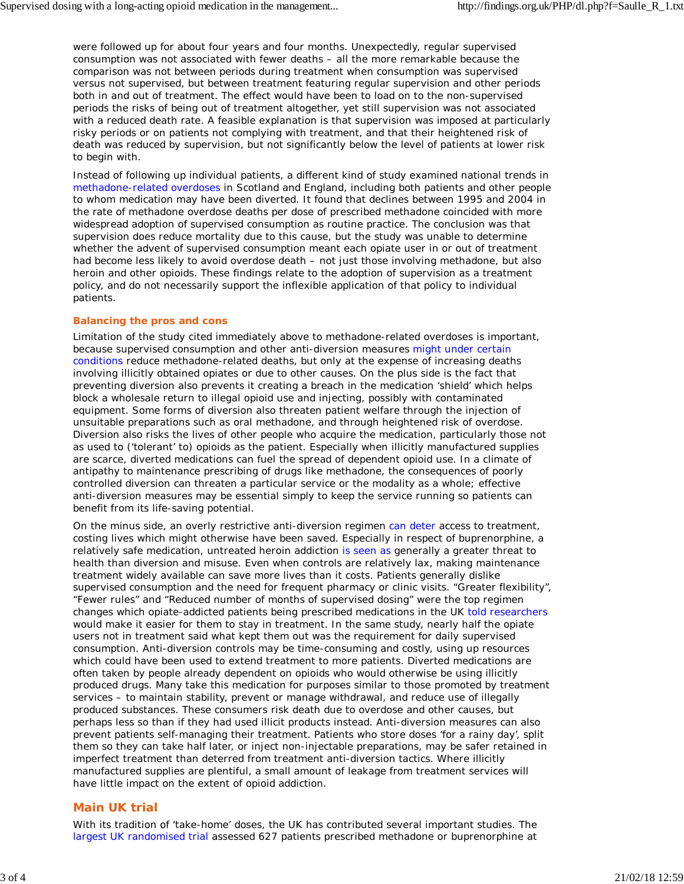were followed up for about four years and four months. Unexpectedly, regular supervised consumption was not associated with fewer deaths – all the more remarkable because the comparison was not between periods during treatment when consumption was supervised versus not supervised, but between treatment featuring regular supervision and other periods both in and out of treatment. The effect would have been to load on to the non-supervised periods the risks of being out of treatment altogether, yet still supervision was not associated with a reduced death rate. A feasible explanation is that supervision was imposed at particularly risky periods or on patients not complying with treatment, and that their heightened risk of death was reduced by supervision, but not significantly below the level of patients at lower risk to begin with.

Instead of following up individual patients, a different kind of study examined national trends in methadone-related overdoses in Scotland and England, including both patients and other people to whom medication may have been diverted. It found that declines between 1995 and 2004 in the rate of methadone overdose deaths per dose of prescribed methadone coincided with more widespread adoption of supervised consumption as routine practice. The conclusion was that supervision does reduce mortality due to this cause, but the study was unable to determine whether the advent of supervised consumption meant each opiate user in or out of treatment had become less likely to avoid overdose death – not just those involving methadone, but also heroin and other opioids. These findings relate to the adoption of supervision as a treatment policy, and do not necessarily support the inflexible application of that policy to individual patients.

### **Balancing the pros and cons**

Limitation of the study cited immediately above to methadone-related overdoses is important, because supervised consumption and other anti-diversion measures might under certain conditions reduce methadone-related deaths, but only at the expense of increasing deaths involving illicitly obtained opiates or due to other causes. On the plus side is the fact that preventing diversion also prevents it creating a breach in the medication 'shield' which helps block a wholesale return to illegal opioid use and injecting, possibly with contaminated equipment. Some forms of diversion also threaten patient welfare through the injection of unsuitable preparations such as oral methadone, and through heightened risk of overdose. Diversion also risks the lives of other people who acquire the medication, particularly those not as used to ('tolerant' to) opioids as the patient. Especially when illicitly manufactured supplies are scarce, diverted medications can fuel the spread of dependent opioid use. In a climate of antipathy to maintenance prescribing of drugs like methadone, the consequences of poorly controlled diversion can threaten a particular service or the modality as a whole; effective anti-diversion measures may be essential simply to keep the service running so patients can benefit from its life-saving potential.

On the minus side, an overly restrictive anti-diversion regimen can deter access to treatment, costing lives which might otherwise have been saved. Especially in respect of buprenorphine, a relatively safe medication, untreated heroin addiction is seen as generally a greater threat to health than diversion and misuse. Even when controls are relatively lax, making maintenance treatment widely available can save more lives than it costs. Patients generally dislike supervised consumption and the need for frequent pharmacy or clinic visits. "Greater flexibility", "Fewer rules" and "Reduced number of months of supervised dosing" were the top regimen changes which opiate-addicted patients being prescribed medications in the UK told researchers would make it easier for them to stay in treatment. In the same study, nearly half the opiate users not in treatment said what kept them out was the requirement for daily supervised consumption. Anti-diversion controls may be time-consuming and costly, using up resources which could have been used to extend treatment to more patients. Diverted medications are often taken by people already dependent on opioids who would otherwise be using illicitly produced drugs. Many take this medication for purposes similar to those promoted by treatment services – to maintain stability, prevent or manage withdrawal, and reduce use of illegally produced substances. These consumers risk death due to overdose and other causes, but perhaps less so than if they had used illicit products instead. Anti-diversion measures can also prevent patients self-managing their treatment. Patients who store doses 'for a rainy day', split them so they can take half later, or inject non-injectable preparations, may be safer retained in imperfect treatment than deterred from treatment anti-diversion tactics. Where illicitly manufactured supplies are plentiful, a small amount of leakage from treatment services will have little impact on the extent of opioid addiction.

## **Main UK trial**

With its tradition of 'take-home' doses, the UK has contributed several important studies. The largest UK randomised trial assessed 627 patients prescribed methadone or buprenorphine at